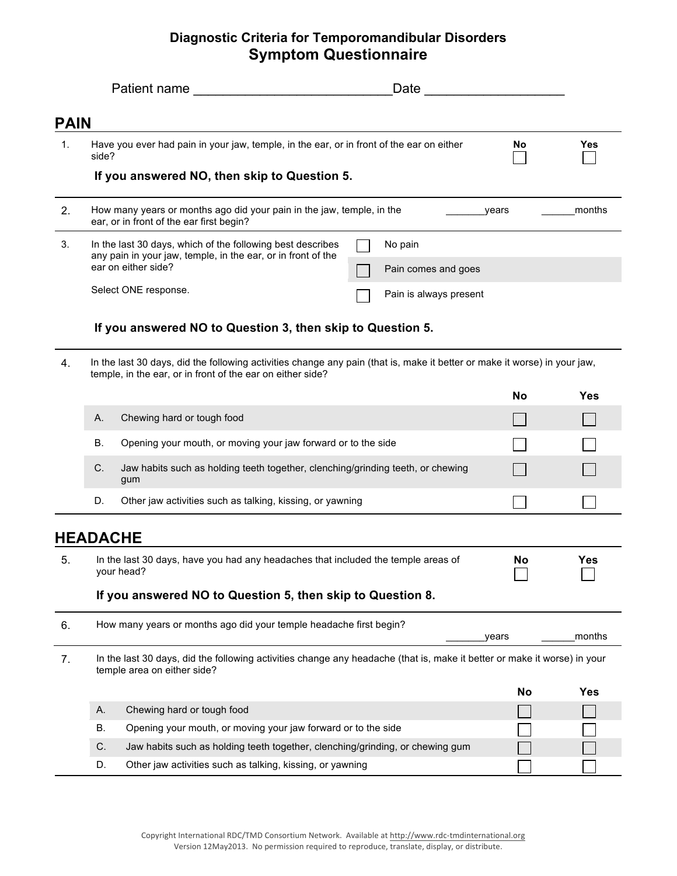## **Diagnostic Criteria for Temporomandibular Disorders Symptom Questionnaire**

|             | Patient name and the state of the state of the state of the state of the state of the state of the state of the state of the state of the state of the state of the state of the state of the state of the state of the state | Date                                                                                                                     |           |            |  |  |
|-------------|-------------------------------------------------------------------------------------------------------------------------------------------------------------------------------------------------------------------------------|--------------------------------------------------------------------------------------------------------------------------|-----------|------------|--|--|
| <b>PAIN</b> |                                                                                                                                                                                                                               |                                                                                                                          |           |            |  |  |
| 1.          | Have you ever had pain in your jaw, temple, in the ear, or in front of the ear on either<br>side?                                                                                                                             |                                                                                                                          | No.       | Yes        |  |  |
|             | If you answered NO, then skip to Question 5.                                                                                                                                                                                  |                                                                                                                          |           |            |  |  |
| 2.          | How many years or months ago did your pain in the jaw, temple, in the<br>ear, or in front of the ear first begin?                                                                                                             | years                                                                                                                    | months    |            |  |  |
| 3.          | In the last 30 days, which of the following best describes<br>No pain<br>any pain in your jaw, temple, in the ear, or in front of the<br>ear on either side?<br>Pain comes and goes                                           |                                                                                                                          |           |            |  |  |
|             | Select ONE response.                                                                                                                                                                                                          | Pain is always present                                                                                                   |           |            |  |  |
|             | If you answered NO to Question 3, then skip to Question 5.                                                                                                                                                                    |                                                                                                                          |           |            |  |  |
| 4.          | In the last 30 days, did the following activities change any pain (that is, make it better or make it worse) in your jaw,<br>temple, in the ear, or in front of the ear on either side?                                       |                                                                                                                          |           |            |  |  |
|             |                                                                                                                                                                                                                               |                                                                                                                          | No        | <b>Yes</b> |  |  |
|             | Chewing hard or tough food<br>А.                                                                                                                                                                                              |                                                                                                                          |           |            |  |  |
|             | В.<br>Opening your mouth, or moving your jaw forward or to the side                                                                                                                                                           |                                                                                                                          |           |            |  |  |
|             | C.<br>Jaw habits such as holding teeth together, clenching/grinding teeth, or chewing<br>gum                                                                                                                                  |                                                                                                                          |           |            |  |  |
|             | D.<br>Other jaw activities such as talking, kissing, or yawning                                                                                                                                                               |                                                                                                                          |           |            |  |  |
|             | <b>HEADACHE</b>                                                                                                                                                                                                               |                                                                                                                          |           |            |  |  |
| 5.          | In the last 30 days, have you had any headaches that included the temple areas of<br>your head?                                                                                                                               |                                                                                                                          | No        | <b>Yes</b> |  |  |
|             | If you answered NO to Question 5, then skip to Question 8.                                                                                                                                                                    |                                                                                                                          |           |            |  |  |
| 6.          | How many years or months ago did your temple headache first begin?<br>months<br>years                                                                                                                                         |                                                                                                                          |           |            |  |  |
| 7.          | temple area on either side?                                                                                                                                                                                                   | In the last 30 days, did the following activities change any headache (that is, make it better or make it worse) in your |           |            |  |  |
|             |                                                                                                                                                                                                                               |                                                                                                                          | <b>No</b> | <b>Yes</b> |  |  |
|             | Chewing hard or tough food<br>Α.                                                                                                                                                                                              |                                                                                                                          |           |            |  |  |
|             | Opening your mouth, or moving your jaw forward or to the side<br>В.                                                                                                                                                           |                                                                                                                          |           |            |  |  |
|             | С.                                                                                                                                                                                                                            | Jaw habits such as holding teeth together, clenching/grinding, or chewing gum                                            |           |            |  |  |
|             | Other jaw activities such as talking, kissing, or yawning<br>D.                                                                                                                                                               |                                                                                                                          |           |            |  |  |